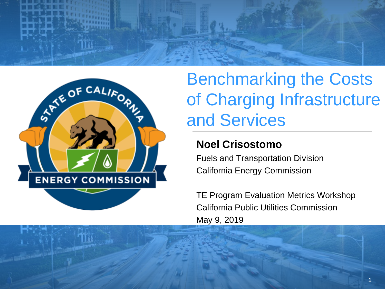



# Benchmarking the Costs of Charging Infrastructure and Services

#### **Noel Crisostomo**

Fuels and Transportation Division California Energy Commission

TE Program Evaluation Metrics Workshop California Public Utilities Commission May 9, 2019

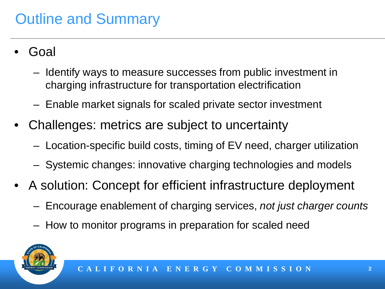## Outline and Summary

- Goal
	- Identify ways to measure successes from public investment in charging infrastructure for transportation electrification
	- Enable market signals for scaled private sector investment
- Challenges: metrics are subject to uncertainty
	- Location-specific build costs, timing of EV need, charger utilization
	- Systemic changes: innovative charging technologies and models
- A solution: Concept for efficient infrastructure deployment
	- Encourage enablement of charging services, *not just charger counts*
	- How to monitor programs in preparation for scaled need

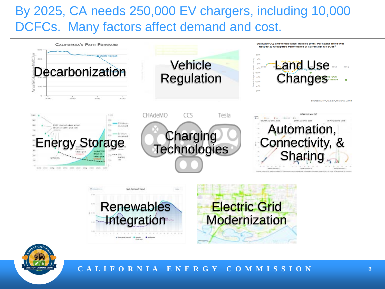#### By 2025, CA needs 250,000 EV chargers, including 10,000 DCFCs. Many factors affect demand and cost.





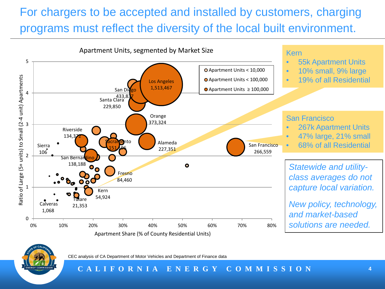#### For chargers to be accepted and installed by customers, charging programs must reflect the diversity of the local built environment.





CEC analysis of CA Department of Motor Vehicles and Department of Finance data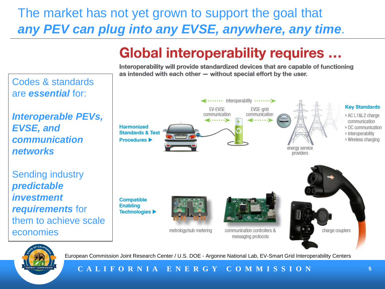#### The market has not yet grown to support the goal that *any PEV can plug into any EVSE, anywhere, any time*.

## **Global interoperability requires ...**

Interoperability will provide standardized devices that are capable of functioning as intended with each other - without special effort by the user.

Codes & standards are *essential* for:

*Interoperable PEVs, EVSE, and communication networks* 

Sending industry *predictable investment requirements* for them to achieve scale economies





European Commission Joint Research Center / U.S. DOE - Argonne National Lab, EV-Smart Grid Interoperability Centers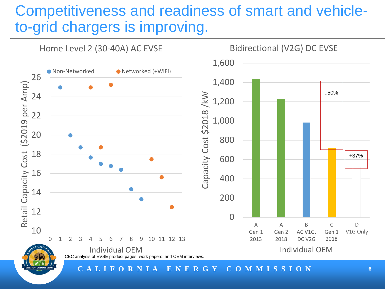### Competitiveness and readiness of smart and vehicleto-grid chargers is improving.

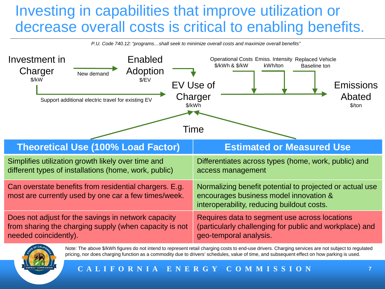### Investing in capabilities that improve utilization or decrease overall costs is critical to enabling benefits.

*P.U. Code 740.12: "programs…shall seek to minimize overall costs and maximize overall benefits"*





Note: The above \$/kWh figures do not intend to represent retail charging costs to end-use drivers. Charging services are not subject to regulated pricing, nor does charging function as a commodity due to drivers' schedules, value of time, and subsequent effect on how parking is used.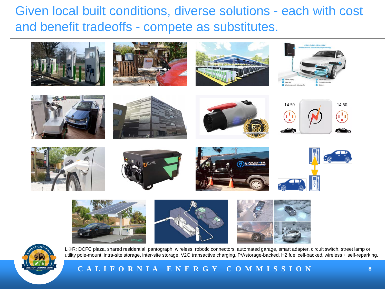Given local built conditions, diverse solutions - each with cost and benefit tradeoffs - compete as substitutes.





L→R: DCFC plaza, shared residential, pantograph, wireless, robotic connectors, automated garage, smart adapter, circuit switch, street lamp or utility pole-mount, intra-site storage, inter-site storage, V2G transactive charging, PV/storage-backed, H2 fuel cell-backed, wireless + self-reparking.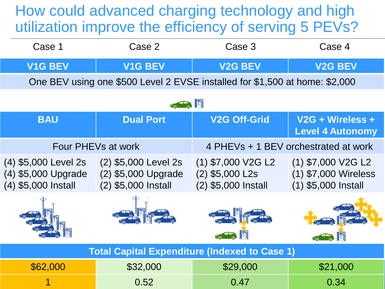#### How could advanced charging technology and high utilization improve the efficiency of serving 5 PEVs?

| Case 1                                                                      | Case 2                                                             | Case 3                                                           | Case 4                                                                |
|-----------------------------------------------------------------------------|--------------------------------------------------------------------|------------------------------------------------------------------|-----------------------------------------------------------------------|
| <b>V1G BEV</b>                                                              | <b>V1G BEV</b>                                                     | <b>V2G BEV</b>                                                   | <b>V2G BEV</b>                                                        |
| One BEV using one \$500 Level 2 EVSE installed for \$1,500 at home: \$2,000 |                                                                    |                                                                  |                                                                       |
| $\sqrt{5}$                                                                  |                                                                    |                                                                  |                                                                       |
| <b>BAU</b>                                                                  | <b>Dual Port</b>                                                   | <b>V2G Off-Grid</b>                                              | V <sub>2G</sub> + Wireless +<br><b>Level 4 Autonomy</b>               |
| Four PHEVs at work                                                          |                                                                    | 4 PHEVs + 1 BEV orchestrated at work                             |                                                                       |
| (4) \$5,000 Level 2s<br>(4) \$5,000 Upgrade<br>(4) \$5,000 Install          | (2) \$5,000 Level 2s<br>(2) \$5,000 Upgrade<br>(2) \$5,000 Install | $(1)$ \$7,000 V2G L2<br>$(2)$ \$5,000 L2s<br>(2) \$5,000 Install | $(1)$ \$7,000 V2G L2<br>(1) \$7,000 Wireless<br>$(1)$ \$5,000 Install |
|                                                                             |                                                                    |                                                                  |                                                                       |
| <b>Total Capital Expenditure (Indexed to Case 1)</b>                        |                                                                    |                                                                  |                                                                       |
| \$62,000                                                                    | \$32,000                                                           | \$29,000                                                         | \$21,000                                                              |
|                                                                             | 0.52                                                               | 0.47                                                             | 0.34                                                                  |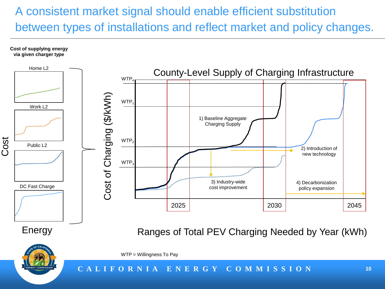#### A consistent market signal should enable efficient substitution between types of installations and reflect market and policy changes.

**Cost of supplying energy via given charger type**





WTP = Willingness To Pay